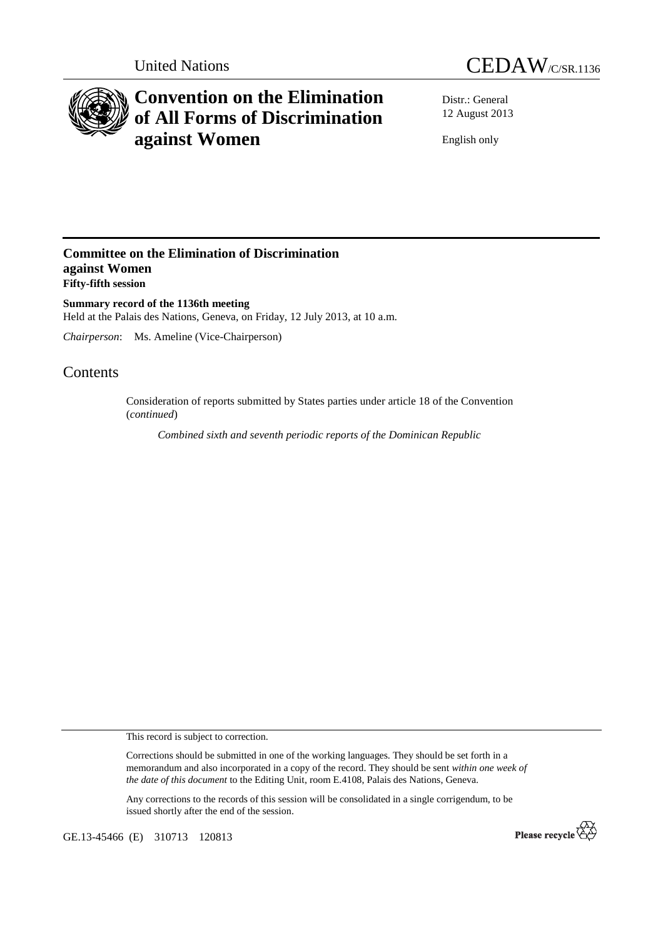



# **Convention on the Elimination of All Forms of Discrimination against Women**

Distr.: General 12 August 2013

English only

### **Committee on the Elimination of Discrimination against Women Fifty-fifth session**

**Summary record of the 1136th meeting**  Held at the Palais des Nations, Geneva, on Friday, 12 July 2013, at 10 a.m.

*Chairperson*: Ms. Ameline (Vice-Chairperson)

## Contents

Consideration of reports submitted by States parties under article 18 of the Convention (*continued*)

*Combined sixth and seventh periodic reports of the Dominican Republic* 

This record is subject to correction.

Corrections should be submitted in one of the working languages. They should be set forth in a memorandum and also incorporated in a copy of the record. They should be sent *within one week of the date of this document* to the Editing Unit, room E.4108, Palais des Nations, Geneva.

Any corrections to the records of this session will be consolidated in a single corrigendum, to be issued shortly after the end of the session.

GE.13-45466 (E) 310713 120813

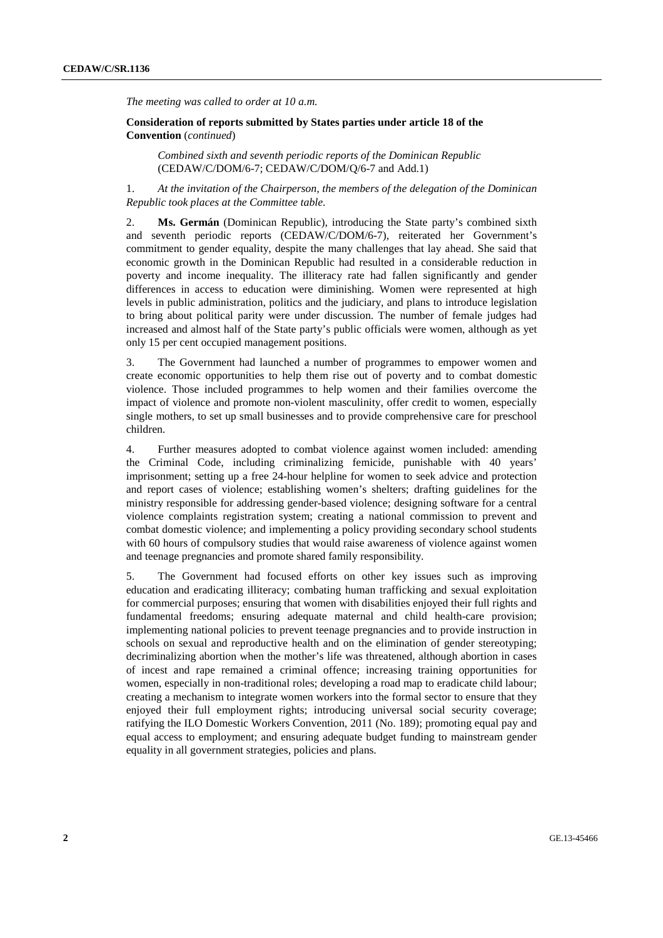*The meeting was called to order at 10 a.m.* 

**Consideration of reports submitted by States parties under article 18 of the Convention** (*continued*)

*Combined sixth and seventh periodic reports of the Dominican Republic* (CEDAW/C/DOM/6-7; CEDAW/C/DOM/Q/6-7 and Add.1)

1. *At the invitation of the Chairperson, the members of the delegation of the Dominican Republic took places at the Committee table.* 

2. **Ms. Germán** (Dominican Republic), introducing the State party's combined sixth and seventh periodic reports (CEDAW/C/DOM/6-7), reiterated her Government's commitment to gender equality, despite the many challenges that lay ahead. She said that economic growth in the Dominican Republic had resulted in a considerable reduction in poverty and income inequality. The illiteracy rate had fallen significantly and gender differences in access to education were diminishing. Women were represented at high levels in public administration, politics and the judiciary, and plans to introduce legislation to bring about political parity were under discussion. The number of female judges had increased and almost half of the State party's public officials were women, although as yet only 15 per cent occupied management positions.

3. The Government had launched a number of programmes to empower women and create economic opportunities to help them rise out of poverty and to combat domestic violence. Those included programmes to help women and their families overcome the impact of violence and promote non-violent masculinity, offer credit to women, especially single mothers, to set up small businesses and to provide comprehensive care for preschool children.

4. Further measures adopted to combat violence against women included: amending the Criminal Code, including criminalizing femicide, punishable with 40 years' imprisonment; setting up a free 24-hour helpline for women to seek advice and protection and report cases of violence; establishing women's shelters; drafting guidelines for the ministry responsible for addressing gender-based violence; designing software for a central violence complaints registration system; creating a national commission to prevent and combat domestic violence; and implementing a policy providing secondary school students with 60 hours of compulsory studies that would raise awareness of violence against women and teenage pregnancies and promote shared family responsibility.

5. The Government had focused efforts on other key issues such as improving education and eradicating illiteracy; combating human trafficking and sexual exploitation for commercial purposes; ensuring that women with disabilities enjoyed their full rights and fundamental freedoms; ensuring adequate maternal and child health-care provision; implementing national policies to prevent teenage pregnancies and to provide instruction in schools on sexual and reproductive health and on the elimination of gender stereotyping; decriminalizing abortion when the mother's life was threatened, although abortion in cases of incest and rape remained a criminal offence; increasing training opportunities for women, especially in non-traditional roles; developing a road map to eradicate child labour; creating a mechanism to integrate women workers into the formal sector to ensure that they enjoyed their full employment rights; introducing universal social security coverage; ratifying the ILO Domestic Workers Convention, 2011 (No. 189); promoting equal pay and equal access to employment; and ensuring adequate budget funding to mainstream gender equality in all government strategies, policies and plans.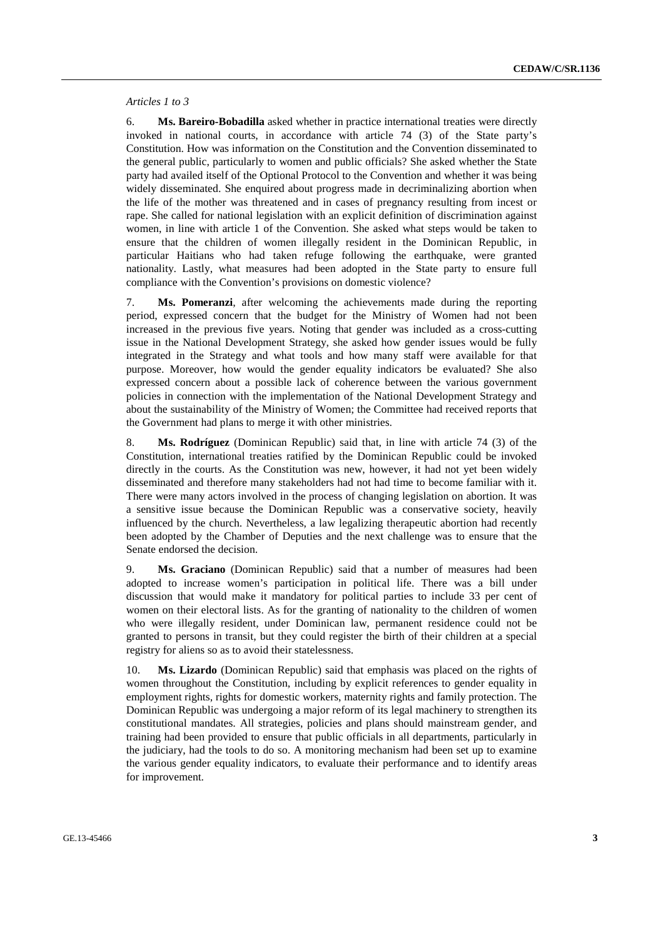#### *Articles 1 to 3*

6. **Ms. Bareiro-Bobadilla** asked whether in practice international treaties were directly invoked in national courts, in accordance with article 74 (3) of the State party's Constitution. How was information on the Constitution and the Convention disseminated to the general public, particularly to women and public officials? She asked whether the State party had availed itself of the Optional Protocol to the Convention and whether it was being widely disseminated. She enquired about progress made in decriminalizing abortion when the life of the mother was threatened and in cases of pregnancy resulting from incest or rape. She called for national legislation with an explicit definition of discrimination against women, in line with article 1 of the Convention. She asked what steps would be taken to ensure that the children of women illegally resident in the Dominican Republic, in particular Haitians who had taken refuge following the earthquake, were granted nationality. Lastly, what measures had been adopted in the State party to ensure full compliance with the Convention's provisions on domestic violence?

7. **Ms. Pomeranzi**, after welcoming the achievements made during the reporting period, expressed concern that the budget for the Ministry of Women had not been increased in the previous five years. Noting that gender was included as a cross-cutting issue in the National Development Strategy, she asked how gender issues would be fully integrated in the Strategy and what tools and how many staff were available for that purpose. Moreover, how would the gender equality indicators be evaluated? She also expressed concern about a possible lack of coherence between the various government policies in connection with the implementation of the National Development Strategy and about the sustainability of the Ministry of Women; the Committee had received reports that the Government had plans to merge it with other ministries.

8. **Ms. Rodríguez** (Dominican Republic) said that, in line with article 74 (3) of the Constitution, international treaties ratified by the Dominican Republic could be invoked directly in the courts. As the Constitution was new, however, it had not yet been widely disseminated and therefore many stakeholders had not had time to become familiar with it. There were many actors involved in the process of changing legislation on abortion. It was a sensitive issue because the Dominican Republic was a conservative society, heavily influenced by the church. Nevertheless, a law legalizing therapeutic abortion had recently been adopted by the Chamber of Deputies and the next challenge was to ensure that the Senate endorsed the decision.

9. **Ms. Graciano** (Dominican Republic) said that a number of measures had been adopted to increase women's participation in political life. There was a bill under discussion that would make it mandatory for political parties to include 33 per cent of women on their electoral lists. As for the granting of nationality to the children of women who were illegally resident, under Dominican law, permanent residence could not be granted to persons in transit, but they could register the birth of their children at a special registry for aliens so as to avoid their statelessness.

10. **Ms. Lizardo** (Dominican Republic) said that emphasis was placed on the rights of women throughout the Constitution, including by explicit references to gender equality in employment rights, rights for domestic workers, maternity rights and family protection. The Dominican Republic was undergoing a major reform of its legal machinery to strengthen its constitutional mandates. All strategies, policies and plans should mainstream gender, and training had been provided to ensure that public officials in all departments, particularly in the judiciary, had the tools to do so. A monitoring mechanism had been set up to examine the various gender equality indicators, to evaluate their performance and to identify areas for improvement.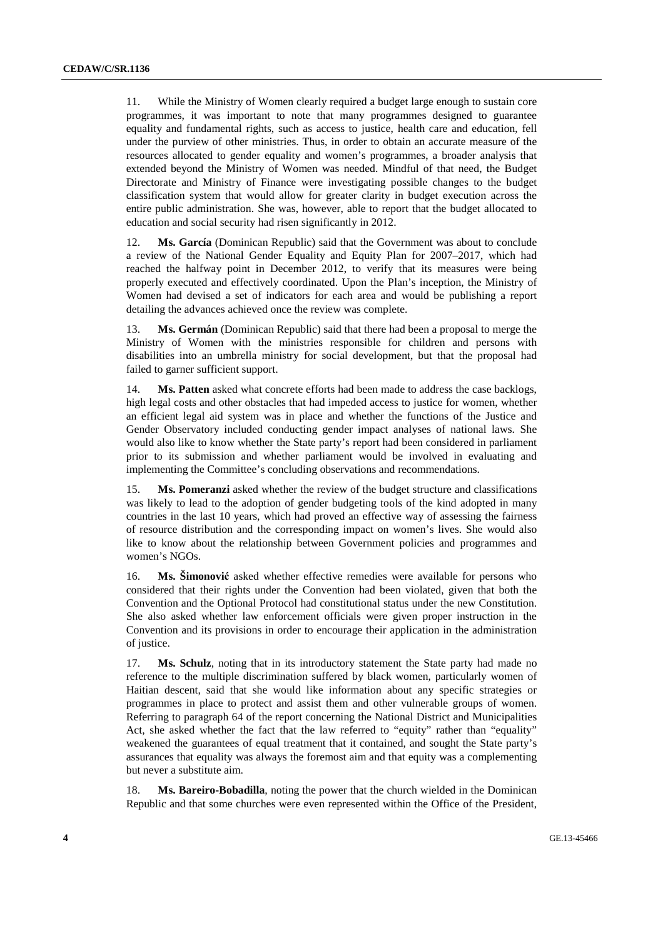11. While the Ministry of Women clearly required a budget large enough to sustain core programmes, it was important to note that many programmes designed to guarantee equality and fundamental rights, such as access to justice, health care and education, fell under the purview of other ministries. Thus, in order to obtain an accurate measure of the resources allocated to gender equality and women's programmes, a broader analysis that extended beyond the Ministry of Women was needed. Mindful of that need, the Budget Directorate and Ministry of Finance were investigating possible changes to the budget classification system that would allow for greater clarity in budget execution across the entire public administration. She was, however, able to report that the budget allocated to education and social security had risen significantly in 2012.

12. **Ms. García** (Dominican Republic) said that the Government was about to conclude a review of the National Gender Equality and Equity Plan for 2007–2017, which had reached the halfway point in December 2012, to verify that its measures were being properly executed and effectively coordinated. Upon the Plan's inception, the Ministry of Women had devised a set of indicators for each area and would be publishing a report detailing the advances achieved once the review was complete.

13. **Ms. Germán** (Dominican Republic) said that there had been a proposal to merge the Ministry of Women with the ministries responsible for children and persons with disabilities into an umbrella ministry for social development, but that the proposal had failed to garner sufficient support.

14. **Ms. Patten** asked what concrete efforts had been made to address the case backlogs, high legal costs and other obstacles that had impeded access to justice for women, whether an efficient legal aid system was in place and whether the functions of the Justice and Gender Observatory included conducting gender impact analyses of national laws. She would also like to know whether the State party's report had been considered in parliament prior to its submission and whether parliament would be involved in evaluating and implementing the Committee's concluding observations and recommendations.

15. **Ms. Pomeranzi** asked whether the review of the budget structure and classifications was likely to lead to the adoption of gender budgeting tools of the kind adopted in many countries in the last 10 years, which had proved an effective way of assessing the fairness of resource distribution and the corresponding impact on women's lives. She would also like to know about the relationship between Government policies and programmes and women's NGOs.

16. **Ms. Šimonović** asked whether effective remedies were available for persons who considered that their rights under the Convention had been violated, given that both the Convention and the Optional Protocol had constitutional status under the new Constitution. She also asked whether law enforcement officials were given proper instruction in the Convention and its provisions in order to encourage their application in the administration of justice.

17. **Ms. Schulz**, noting that in its introductory statement the State party had made no reference to the multiple discrimination suffered by black women, particularly women of Haitian descent, said that she would like information about any specific strategies or programmes in place to protect and assist them and other vulnerable groups of women. Referring to paragraph 64 of the report concerning the National District and Municipalities Act, she asked whether the fact that the law referred to "equity" rather than "equality" weakened the guarantees of equal treatment that it contained, and sought the State party's assurances that equality was always the foremost aim and that equity was a complementing but never a substitute aim.

18. **Ms. Bareiro-Bobadilla**, noting the power that the church wielded in the Dominican Republic and that some churches were even represented within the Office of the President,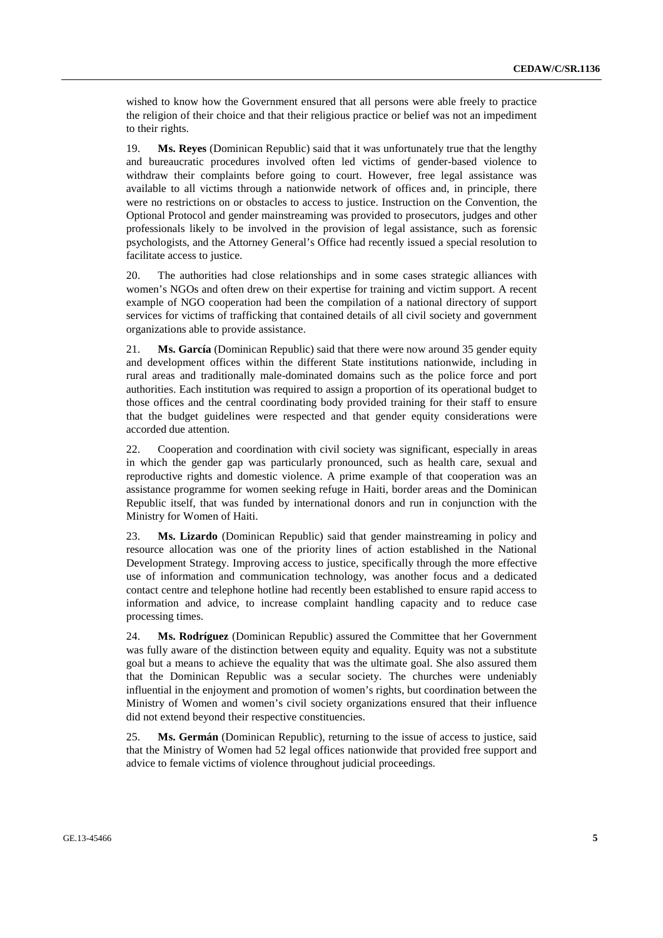wished to know how the Government ensured that all persons were able freely to practice the religion of their choice and that their religious practice or belief was not an impediment to their rights.

19. **Ms. Reyes** (Dominican Republic) said that it was unfortunately true that the lengthy and bureaucratic procedures involved often led victims of gender-based violence to withdraw their complaints before going to court. However, free legal assistance was available to all victims through a nationwide network of offices and, in principle, there were no restrictions on or obstacles to access to justice. Instruction on the Convention, the Optional Protocol and gender mainstreaming was provided to prosecutors, judges and other professionals likely to be involved in the provision of legal assistance, such as forensic psychologists, and the Attorney General's Office had recently issued a special resolution to facilitate access to justice.

20. The authorities had close relationships and in some cases strategic alliances with women's NGOs and often drew on their expertise for training and victim support. A recent example of NGO cooperation had been the compilation of a national directory of support services for victims of trafficking that contained details of all civil society and government organizations able to provide assistance.

21. **Ms. García** (Dominican Republic) said that there were now around 35 gender equity and development offices within the different State institutions nationwide, including in rural areas and traditionally male-dominated domains such as the police force and port authorities. Each institution was required to assign a proportion of its operational budget to those offices and the central coordinating body provided training for their staff to ensure that the budget guidelines were respected and that gender equity considerations were accorded due attention.

22. Cooperation and coordination with civil society was significant, especially in areas in which the gender gap was particularly pronounced, such as health care, sexual and reproductive rights and domestic violence. A prime example of that cooperation was an assistance programme for women seeking refuge in Haiti, border areas and the Dominican Republic itself, that was funded by international donors and run in conjunction with the Ministry for Women of Haiti.

23. **Ms. Lizardo** (Dominican Republic) said that gender mainstreaming in policy and resource allocation was one of the priority lines of action established in the National Development Strategy. Improving access to justice, specifically through the more effective use of information and communication technology, was another focus and a dedicated contact centre and telephone hotline had recently been established to ensure rapid access to information and advice, to increase complaint handling capacity and to reduce case processing times.

24. **Ms. Rodríguez** (Dominican Republic) assured the Committee that her Government was fully aware of the distinction between equity and equality. Equity was not a substitute goal but a means to achieve the equality that was the ultimate goal. She also assured them that the Dominican Republic was a secular society. The churches were undeniably influential in the enjoyment and promotion of women's rights, but coordination between the Ministry of Women and women's civil society organizations ensured that their influence did not extend beyond their respective constituencies.

25. **Ms. Germán** (Dominican Republic), returning to the issue of access to justice, said that the Ministry of Women had 52 legal offices nationwide that provided free support and advice to female victims of violence throughout judicial proceedings.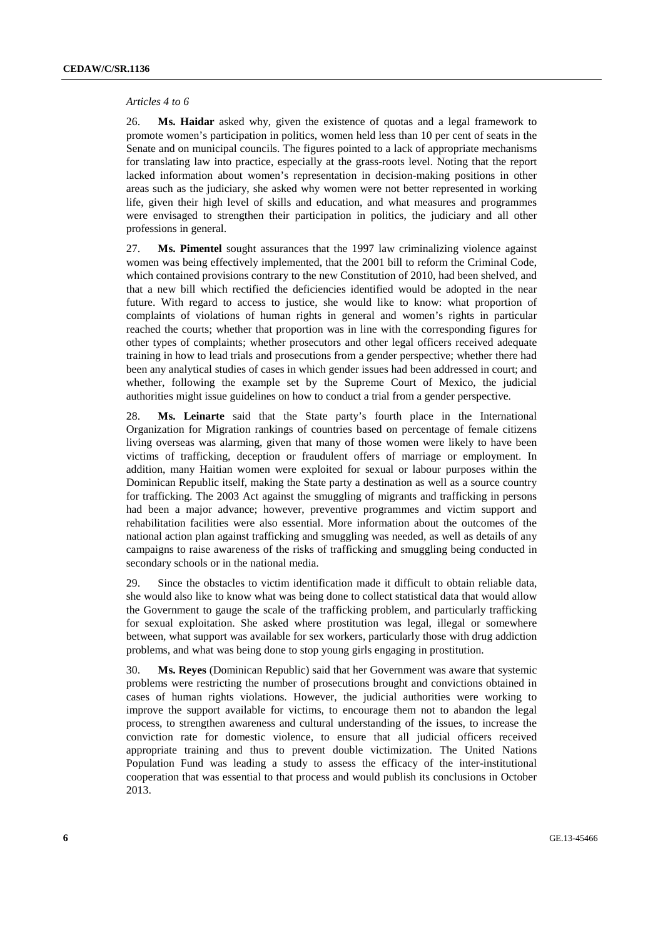#### *Articles 4 to 6*

26. **Ms. Haidar** asked why, given the existence of quotas and a legal framework to promote women's participation in politics, women held less than 10 per cent of seats in the Senate and on municipal councils. The figures pointed to a lack of appropriate mechanisms for translating law into practice, especially at the grass-roots level. Noting that the report lacked information about women's representation in decision-making positions in other areas such as the judiciary, she asked why women were not better represented in working life, given their high level of skills and education, and what measures and programmes were envisaged to strengthen their participation in politics, the judiciary and all other professions in general.

27. **Ms. Pimentel** sought assurances that the 1997 law criminalizing violence against women was being effectively implemented, that the 2001 bill to reform the Criminal Code, which contained provisions contrary to the new Constitution of 2010, had been shelved, and that a new bill which rectified the deficiencies identified would be adopted in the near future. With regard to access to justice, she would like to know: what proportion of complaints of violations of human rights in general and women's rights in particular reached the courts; whether that proportion was in line with the corresponding figures for other types of complaints; whether prosecutors and other legal officers received adequate training in how to lead trials and prosecutions from a gender perspective; whether there had been any analytical studies of cases in which gender issues had been addressed in court; and whether, following the example set by the Supreme Court of Mexico, the judicial authorities might issue guidelines on how to conduct a trial from a gender perspective.

28. **Ms. Leinarte** said that the State party's fourth place in the International Organization for Migration rankings of countries based on percentage of female citizens living overseas was alarming, given that many of those women were likely to have been victims of trafficking, deception or fraudulent offers of marriage or employment. In addition, many Haitian women were exploited for sexual or labour purposes within the Dominican Republic itself, making the State party a destination as well as a source country for trafficking. The 2003 Act against the smuggling of migrants and trafficking in persons had been a major advance; however, preventive programmes and victim support and rehabilitation facilities were also essential. More information about the outcomes of the national action plan against trafficking and smuggling was needed, as well as details of any campaigns to raise awareness of the risks of trafficking and smuggling being conducted in secondary schools or in the national media.

29. Since the obstacles to victim identification made it difficult to obtain reliable data, she would also like to know what was being done to collect statistical data that would allow the Government to gauge the scale of the trafficking problem, and particularly trafficking for sexual exploitation. She asked where prostitution was legal, illegal or somewhere between, what support was available for sex workers, particularly those with drug addiction problems, and what was being done to stop young girls engaging in prostitution.

30. **Ms. Reyes** (Dominican Republic) said that her Government was aware that systemic problems were restricting the number of prosecutions brought and convictions obtained in cases of human rights violations. However, the judicial authorities were working to improve the support available for victims, to encourage them not to abandon the legal process, to strengthen awareness and cultural understanding of the issues, to increase the conviction rate for domestic violence, to ensure that all judicial officers received appropriate training and thus to prevent double victimization. The United Nations Population Fund was leading a study to assess the efficacy of the inter-institutional cooperation that was essential to that process and would publish its conclusions in October 2013.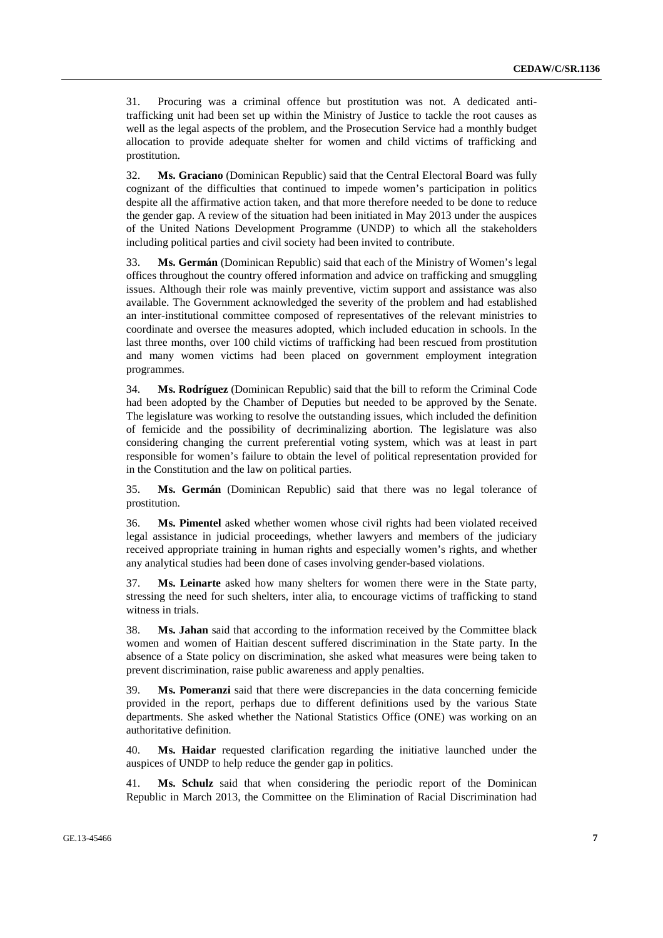31. Procuring was a criminal offence but prostitution was not. A dedicated antitrafficking unit had been set up within the Ministry of Justice to tackle the root causes as well as the legal aspects of the problem, and the Prosecution Service had a monthly budget allocation to provide adequate shelter for women and child victims of trafficking and prostitution.

32. **Ms. Graciano** (Dominican Republic) said that the Central Electoral Board was fully cognizant of the difficulties that continued to impede women's participation in politics despite all the affirmative action taken, and that more therefore needed to be done to reduce the gender gap. A review of the situation had been initiated in May 2013 under the auspices of the United Nations Development Programme (UNDP) to which all the stakeholders including political parties and civil society had been invited to contribute.

33. **Ms. Germán** (Dominican Republic) said that each of the Ministry of Women's legal offices throughout the country offered information and advice on trafficking and smuggling issues. Although their role was mainly preventive, victim support and assistance was also available. The Government acknowledged the severity of the problem and had established an inter-institutional committee composed of representatives of the relevant ministries to coordinate and oversee the measures adopted, which included education in schools. In the last three months, over 100 child victims of trafficking had been rescued from prostitution and many women victims had been placed on government employment integration programmes.

34. **Ms. Rodríguez** (Dominican Republic) said that the bill to reform the Criminal Code had been adopted by the Chamber of Deputies but needed to be approved by the Senate. The legislature was working to resolve the outstanding issues, which included the definition of femicide and the possibility of decriminalizing abortion. The legislature was also considering changing the current preferential voting system, which was at least in part responsible for women's failure to obtain the level of political representation provided for in the Constitution and the law on political parties.

35. **Ms. Germán** (Dominican Republic) said that there was no legal tolerance of prostitution.

36. **Ms. Pimentel** asked whether women whose civil rights had been violated received legal assistance in judicial proceedings, whether lawyers and members of the judiciary received appropriate training in human rights and especially women's rights, and whether any analytical studies had been done of cases involving gender-based violations.

37. **Ms. Leinarte** asked how many shelters for women there were in the State party, stressing the need for such shelters, inter alia, to encourage victims of trafficking to stand witness in trials.

38. **Ms. Jahan** said that according to the information received by the Committee black women and women of Haitian descent suffered discrimination in the State party. In the absence of a State policy on discrimination, she asked what measures were being taken to prevent discrimination, raise public awareness and apply penalties.

39. **Ms. Pomeranzi** said that there were discrepancies in the data concerning femicide provided in the report, perhaps due to different definitions used by the various State departments. She asked whether the National Statistics Office (ONE) was working on an authoritative definition.

40. **Ms. Haidar** requested clarification regarding the initiative launched under the auspices of UNDP to help reduce the gender gap in politics.

41. **Ms. Schulz** said that when considering the periodic report of the Dominican Republic in March 2013, the Committee on the Elimination of Racial Discrimination had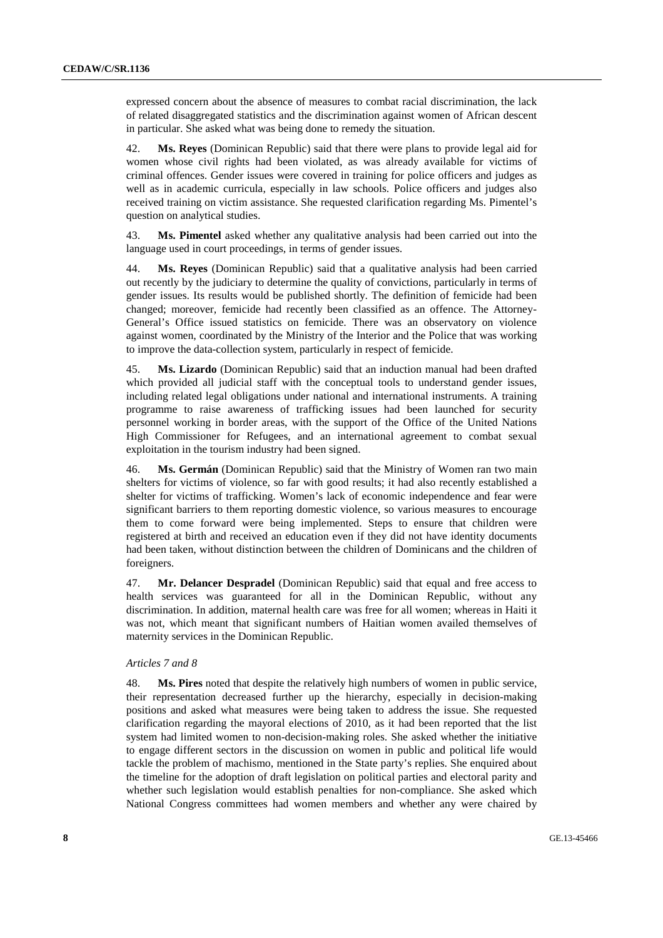expressed concern about the absence of measures to combat racial discrimination, the lack of related disaggregated statistics and the discrimination against women of African descent in particular. She asked what was being done to remedy the situation.

42. **Ms. Reyes** (Dominican Republic) said that there were plans to provide legal aid for women whose civil rights had been violated, as was already available for victims of criminal offences. Gender issues were covered in training for police officers and judges as well as in academic curricula, especially in law schools. Police officers and judges also received training on victim assistance. She requested clarification regarding Ms. Pimentel's question on analytical studies.

43. **Ms. Pimentel** asked whether any qualitative analysis had been carried out into the language used in court proceedings, in terms of gender issues.

44. **Ms. Reyes** (Dominican Republic) said that a qualitative analysis had been carried out recently by the judiciary to determine the quality of convictions, particularly in terms of gender issues. Its results would be published shortly. The definition of femicide had been changed; moreover, femicide had recently been classified as an offence. The Attorney-General's Office issued statistics on femicide. There was an observatory on violence against women, coordinated by the Ministry of the Interior and the Police that was working to improve the data-collection system, particularly in respect of femicide.

45. **Ms. Lizardo** (Dominican Republic) said that an induction manual had been drafted which provided all judicial staff with the conceptual tools to understand gender issues, including related legal obligations under national and international instruments. A training programme to raise awareness of trafficking issues had been launched for security personnel working in border areas, with the support of the Office of the United Nations High Commissioner for Refugees, and an international agreement to combat sexual exploitation in the tourism industry had been signed.

46. **Ms. Germán** (Dominican Republic) said that the Ministry of Women ran two main shelters for victims of violence, so far with good results; it had also recently established a shelter for victims of trafficking. Women's lack of economic independence and fear were significant barriers to them reporting domestic violence, so various measures to encourage them to come forward were being implemented. Steps to ensure that children were registered at birth and received an education even if they did not have identity documents had been taken, without distinction between the children of Dominicans and the children of foreigners.

47. **Mr. Delancer Despradel** (Dominican Republic) said that equal and free access to health services was guaranteed for all in the Dominican Republic, without any discrimination. In addition, maternal health care was free for all women; whereas in Haiti it was not, which meant that significant numbers of Haitian women availed themselves of maternity services in the Dominican Republic.

#### *Articles 7 and 8*

48. **Ms. Pires** noted that despite the relatively high numbers of women in public service, their representation decreased further up the hierarchy, especially in decision-making positions and asked what measures were being taken to address the issue. She requested clarification regarding the mayoral elections of 2010, as it had been reported that the list system had limited women to non-decision-making roles. She asked whether the initiative to engage different sectors in the discussion on women in public and political life would tackle the problem of machismo, mentioned in the State party's replies. She enquired about the timeline for the adoption of draft legislation on political parties and electoral parity and whether such legislation would establish penalties for non-compliance. She asked which National Congress committees had women members and whether any were chaired by